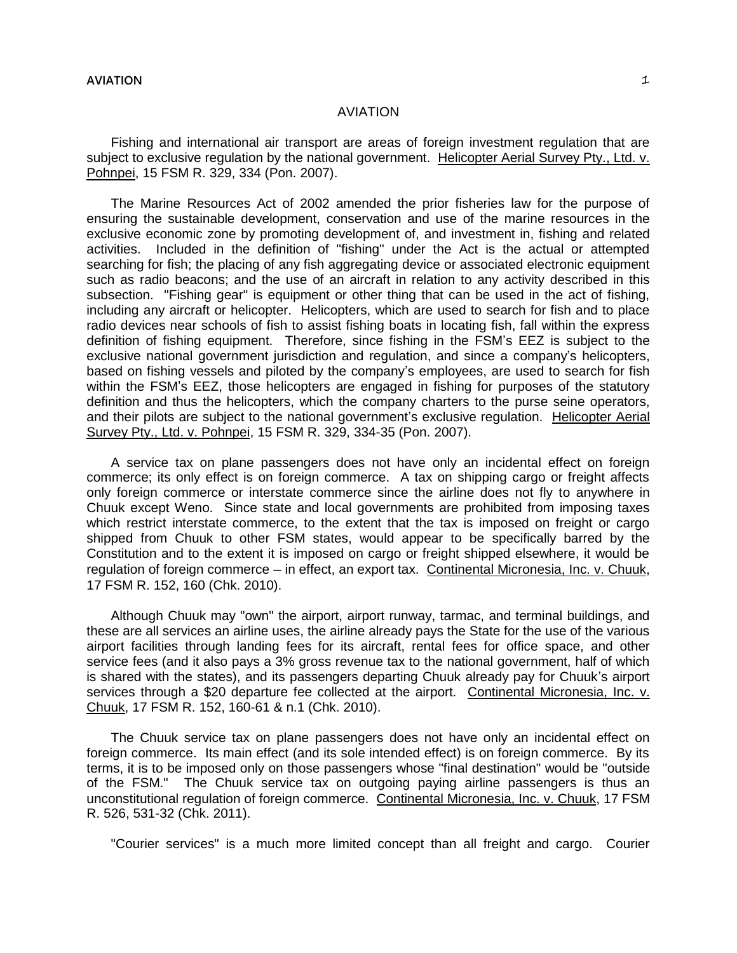## **AVIATION** 1

## AVIATION

Fishing and international air transport are areas of foreign investment regulation that are subject to exclusive regulation by the national government. Helicopter Aerial Survey Pty., Ltd. v. Pohnpei, 15 FSM R. 329, 334 (Pon. 2007).

The Marine Resources Act of 2002 amended the prior fisheries law for the purpose of ensuring the sustainable development, conservation and use of the marine resources in the exclusive economic zone by promoting development of, and investment in, fishing and related activities. Included in the definition of "fishing" under the Act is the actual or attempted searching for fish; the placing of any fish aggregating device or associated electronic equipment such as radio beacons; and the use of an aircraft in relation to any activity described in this subsection. "Fishing gear" is equipment or other thing that can be used in the act of fishing, including any aircraft or helicopter. Helicopters, which are used to search for fish and to place radio devices near schools of fish to assist fishing boats in locating fish, fall within the express definition of fishing equipment. Therefore, since fishing in the FSM's EEZ is subject to the exclusive national government jurisdiction and regulation, and since a company's helicopters, based on fishing vessels and piloted by the company's employees, are used to search for fish within the FSM's EEZ, those helicopters are engaged in fishing for purposes of the statutory definition and thus the helicopters, which the company charters to the purse seine operators, and their pilots are subject to the national government's exclusive regulation. Helicopter Aerial Survey Pty., Ltd. v. Pohnpei, 15 FSM R. 329, 334-35 (Pon. 2007).

A service tax on plane passengers does not have only an incidental effect on foreign commerce; its only effect is on foreign commerce. A tax on shipping cargo or freight affects only foreign commerce or interstate commerce since the airline does not fly to anywhere in Chuuk except Weno. Since state and local governments are prohibited from imposing taxes which restrict interstate commerce, to the extent that the tax is imposed on freight or cargo shipped from Chuuk to other FSM states, would appear to be specifically barred by the Constitution and to the extent it is imposed on cargo or freight shipped elsewhere, it would be regulation of foreign commerce ─ in effect, an export tax. Continental Micronesia, Inc. v. Chuuk, 17 FSM R. 152, 160 (Chk. 2010).

Although Chuuk may "own" the airport, airport runway, tarmac, and terminal buildings, and these are all services an airline uses, the airline already pays the State for the use of the various airport facilities through landing fees for its aircraft, rental fees for office space, and other service fees (and it also pays a 3% gross revenue tax to the national government, half of which is shared with the states), and its passengers departing Chuuk already pay for Chuuk's airport services through a \$20 departure fee collected at the airport. Continental Micronesia, Inc. v. Chuuk, 17 FSM R. 152, 160-61 & n.1 (Chk. 2010).

The Chuuk service tax on plane passengers does not have only an incidental effect on foreign commerce. Its main effect (and its sole intended effect) is on foreign commerce. By its terms, it is to be imposed only on those passengers whose "final destination" would be "outside of the FSM." The Chuuk service tax on outgoing paying airline passengers is thus an unconstitutional regulation of foreign commerce. Continental Micronesia, Inc. v. Chuuk, 17 FSM R. 526, 531-32 (Chk. 2011).

"Courier services" is a much more limited concept than all freight and cargo. Courier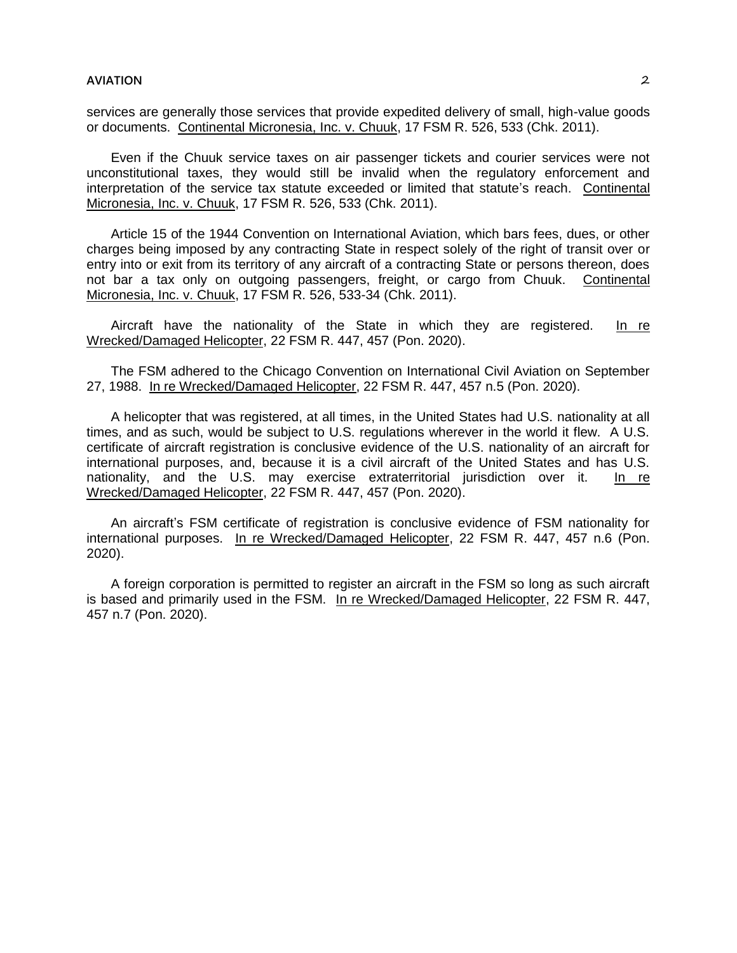services are generally those services that provide expedited delivery of small, high-value goods or documents. Continental Micronesia, Inc. v. Chuuk, 17 FSM R. 526, 533 (Chk. 2011).

Even if the Chuuk service taxes on air passenger tickets and courier services were not unconstitutional taxes, they would still be invalid when the regulatory enforcement and interpretation of the service tax statute exceeded or limited that statute's reach. Continental Micronesia, Inc. v. Chuuk, 17 FSM R. 526, 533 (Chk. 2011).

Article 15 of the 1944 Convention on International Aviation, which bars fees, dues, or other charges being imposed by any contracting State in respect solely of the right of transit over or entry into or exit from its territory of any aircraft of a contracting State or persons thereon, does not bar a tax only on outgoing passengers, freight, or cargo from Chuuk. Continental Micronesia, Inc. v. Chuuk, 17 FSM R. 526, 533-34 (Chk. 2011).

Aircraft have the nationality of the State in which they are registered. In re Wrecked/Damaged Helicopter, 22 FSM R. 447, 457 (Pon. 2020).

The FSM adhered to the Chicago Convention on International Civil Aviation on September 27, 1988. In re Wrecked/Damaged Helicopter, 22 FSM R. 447, 457 n.5 (Pon. 2020).

A helicopter that was registered, at all times, in the United States had U.S. nationality at all times, and as such, would be subject to U.S. regulations wherever in the world it flew. A U.S. certificate of aircraft registration is conclusive evidence of the U.S. nationality of an aircraft for international purposes, and, because it is a civil aircraft of the United States and has U.S. nationality, and the U.S. may exercise extraterritorial jurisdiction over it. In re Wrecked/Damaged Helicopter, 22 FSM R. 447, 457 (Pon. 2020).

An aircraft's FSM certificate of registration is conclusive evidence of FSM nationality for international purposes. In re Wrecked/Damaged Helicopter, 22 FSM R. 447, 457 n.6 (Pon. 2020).

A foreign corporation is permitted to register an aircraft in the FSM so long as such aircraft is based and primarily used in the FSM. In re Wrecked/Damaged Helicopter, 22 FSM R. 447, 457 n.7 (Pon. 2020).